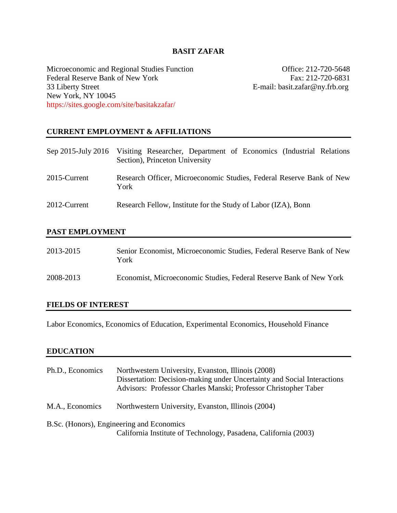# **BASIT ZAFAR**

Microeconomic and Regional Studies Function Office: 212-720-5648 Federal Reserve Bank of New York Fax: 212-720-6831<br>
33 Liberty Street E-mail: basit.zafar@ny.frb.org New York, NY 10045 https://sites.google.com/site/basitakzafar/

E-mail: basit.zafar@ny.frb.org

## **CURRENT EMPLOYMENT & AFFILIATIONS**

|              | Sep 2015-July 2016 Visiting Researcher, Department of Economics (Industrial Relations<br>Section), Princeton University |
|--------------|-------------------------------------------------------------------------------------------------------------------------|
| 2015-Current | Research Officer, Microeconomic Studies, Federal Reserve Bank of New<br>York                                            |
| 2012-Current | Research Fellow, Institute for the Study of Labor (IZA), Bonn                                                           |

## **PAST EMPLOYMENT**

| 2013-2015 | Senior Economist, Microeconomic Studies, Federal Reserve Bank of New<br>York |
|-----------|------------------------------------------------------------------------------|
| 2008-2013 | Economist, Microeconomic Studies, Federal Reserve Bank of New York           |

### **FIELDS OF INTEREST**

Labor Economics, Economics of Education, Experimental Economics, Household Finance

#### **EDUCATION**

| Ph.D., Economics                                                                                             | Northwestern University, Evanston, Illinois (2008)<br>Dissertation: Decision-making under Uncertainty and Social Interactions<br>Advisors: Professor Charles Manski; Professor Christopher Taber |
|--------------------------------------------------------------------------------------------------------------|--------------------------------------------------------------------------------------------------------------------------------------------------------------------------------------------------|
| M.A., Economics                                                                                              | Northwestern University, Evanston, Illinois (2004)                                                                                                                                               |
| B.Sc. (Honors), Engineering and Economics<br>California Institute of Technology, Pasadena, California (2003) |                                                                                                                                                                                                  |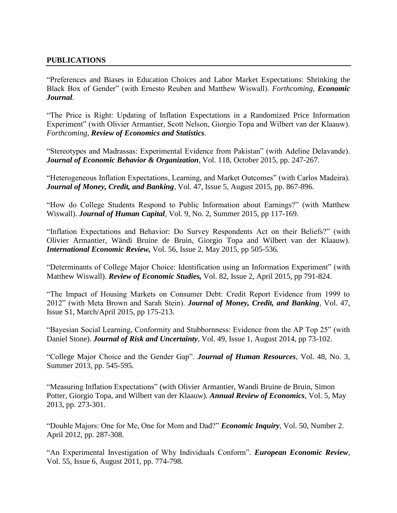## **PUBLICATIONS**

"Preferences and Biases in Education Choices and Labor Market Expectations: Shrinking the Black Box of Gender" (with Ernesto Reuben and Matthew Wiswall). *Forthcoming, Economic Journal.*

"The Price is Right: Updating of Inflation Expectations in a Randomized Price Information Experiment" (with Olivier Armantier, Scott Nelson, Giorgio Topa and Wilbert van der Klaauw). *Forthcoming, Review of Economics and Statistics.*

"Stereotypes and Madrassas: Experimental Evidence from Pakistan" (with Adeline Delavande). *Journal of Economic Behavior & Organization*, Vol. 118, October 2015, pp. 247-267.

"Heterogeneous Inflation Expectations, Learning, and Market Outcomes" (with Carlos Madeira). *Journal of Money, Credit, and Banking,* Vol. 47, Issue 5, August 2015, pp. 867-896.

"How do College Students Respond to Public Information about Earnings?" (with Matthew Wiswall). *Journal of Human Capital*, Vol. 9, No. 2, Summer 2015, pp 117-169.

"Inflation Expectations and Behavior: Do Survey Respondents Act on their Beliefs?" (with Olivier Armantier, Wändi Bruine de Bruin, Giorgio Topa and Wilbert van der Klaauw). *International Economic Review,* Vol. 56, Issue 2, May 2015, pp 505-536*.*

"Determinants of College Major Choice: Identification using an Information Experiment" (with Matthew Wiswall). *Review of Economic Studies,* Vol. 82, Issue 2, April 2015, pp 791-824.

"The Impact of Housing Markets on Consumer Debt: Credit Report Evidence from 1999 to 2012" (with Meta Brown and Sarah Stein). *Journal of Money, Credit, and Banking*, Vol. 47, Issue S1, March/April 2015, pp 175-213.

"Bayesian Social Learning, Conformity and Stubbornness: Evidence from the AP Top 25" (with Daniel Stone). *Journal of Risk and Uncertainty*, Vol. 49, Issue 1, August 2014, pp 73-102.

"College Major Choice and the Gender Gap". *Journal of Human Resources*, Vol. 48, No. 3, Summer 2013, pp. 545-595.

"Measuring Inflation Expectations" (with Olivier Armantier, Wandi Bruine de Bruin, Simon Potter, Giorgio Topa, and Wilbert van der Klaauw). *Annual Review of Economics*, Vol. 5, May 2013, pp. 273-301.

"Double Majors: One for Me, One for Mom and Dad?" *Economic Inquiry*, Vol. 50, Number 2. April 2012, pp. 287-308.

"An Experimental Investigation of Why Individuals Conform". *European Economic Review*, Vol. 55, Issue 6, August 2011, pp. 774-798.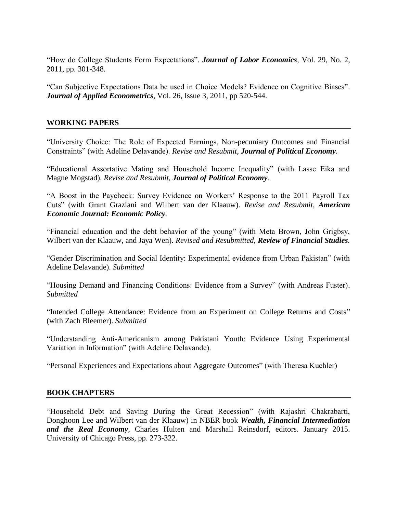"How do College Students Form Expectations". *Journal of Labor Economics,* Vol. 29, No. 2, 2011, pp. 301-348.

"Can Subjective Expectations Data be used in Choice Models? Evidence on Cognitive Biases". *Journal of Applied Econometrics,* Vol. 26, Issue 3, 2011, pp 520-544.

### **WORKING PAPERS**

"University Choice: The Role of Expected Earnings, Non-pecuniary Outcomes and Financial Constraints" (with Adeline Delavande). *Revise and Resubmit, Journal of Political Economy.*

"Educational Assortative Mating and Household Income Inequality" (with Lasse Eika and Magne Mogstad). *Revise and Resubmit, Journal of Political Economy.*

"A Boost in the Paycheck: Survey Evidence on Workers' Response to the 2011 Payroll Tax Cuts" (with Grant Graziani and Wilbert van der Klaauw). *Revise and Resubmit, American Economic Journal: Economic Policy.*

"Financial education and the debt behavior of the young" (with Meta Brown, John Grigbsy, Wilbert van der Klaauw, and Jaya Wen). *Revised and Resubmitted, Review of Financial Studies.*

"Gender Discrimination and Social Identity: Experimental evidence from Urban Pakistan" (with Adeline Delavande). *Submitted*

"Housing Demand and Financing Conditions: Evidence from a Survey" (with Andreas Fuster). *Submitted*

"Intended College Attendance: Evidence from an Experiment on College Returns and Costs" (with Zach Bleemer). *Submitted*

"Understanding Anti-Americanism among Pakistani Youth: Evidence Using Experimental Variation in Information" (with Adeline Delavande).

"Personal Experiences and Expectations about Aggregate Outcomes" (with Theresa Kuchler)

#### **BOOK CHAPTERS**

"Household Debt and Saving During the Great Recession" (with Rajashri Chakrabarti, Donghoon Lee and Wilbert van der Klaauw) in NBER book *Wealth, Financial Intermediation and the Real Economy*, Charles Hulten and Marshall Reinsdorf, editors. January 2015. University of Chicago Press, pp. 273-322.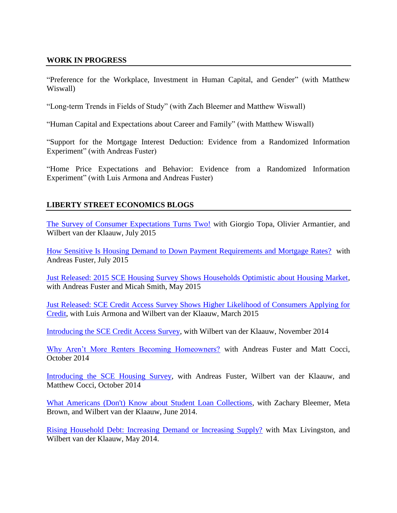## **WORK IN PROGRESS**

"Preference for the Workplace, Investment in Human Capital, and Gender" (with Matthew Wiswall)

"Long-term Trends in Fields of Study" (with Zach Bleemer and Matthew Wiswall)

"Human Capital and Expectations about Career and Family" (with Matthew Wiswall)

"Support for the Mortgage Interest Deduction: Evidence from a Randomized Information Experiment" (with Andreas Fuster)

"Home Price Expectations and Behavior: Evidence from a Randomized Information Experiment" (with Luis Armona and Andreas Fuster)

# **LIBERTY STREET ECONOMICS BLOGS**

[The Survey of Consumer Expectations Turns Two!](http://libertystreeteconomics.newyorkfed.org/2015/07/the-survey-of-consumer-expectations-turns-two.html) with Giorgio Topa, Olivier Armantier, and Wilbert van der Klaauw, July 2015

[How Sensitive Is Housing Demand to Down Payment Requirements and Mortgage Rates?](http://libertystreeteconomics.newyorkfed.org/2015/07/how-sensitive-is-housing-demand-to-down-payment-requirements-and-mortgage-rates.html) with Andreas Fuster, July 2015

[Just Released: 2015 SCE Housing Survey Shows Households Optimistic about Housing Market,](http://libertystreeteconomics.newyorkfed.org/2015/05/just-released-2015-sce-housing-survey-shows-households-optimistic-about-housing-market.html) with Andreas Fuster and Micah Smith, May 2015

[Just Released: SCE Credit Access Survey Shows Higher Likelihood of Consumers Applying for](http://libertystreeteconomics.newyorkfed.org/2015/03/just-released-sce-credit-access-survey-shows-higher-likelihood-of-consumers-applying-for-credit.html)  [Credit,](http://libertystreeteconomics.newyorkfed.org/2015/03/just-released-sce-credit-access-survey-shows-higher-likelihood-of-consumers-applying-for-credit.html) with Luis Armona and Wilbert van der Klaauw, March 2015

[Introducing the SCE Credit Access Survey,](http://libertystreeteconomics.newyorkfed.org/2014/11/introducing-the-sce-credit-access-survey.html) with Wilbert van der Klaauw, November 2014

[Why Aren't More Renters Becoming Homeowners?](http://libertystreeteconomics.newyorkfed.org/2014/09/why-arent-more-renters-becoming-homeowners.html#.VBENa2NyGwY) with Andreas Fuster and Matt Cocci, October 2014

[Introducing the SCE Housing Survey,](http://libertystreeteconomics.newyorkfed.org/2014/09/introducing-the-sce-housing-survey.html#.VBENxmNyGwY) with Andreas Fuster, Wilbert van der Klaauw, and Matthew Cocci, October 2014

[What Americans \(Don't\) Know about Student Loan Collections,](http://libertystreeteconomics.newyorkfed.org/2014/06/what-americans-dont-know-about-student-loan-collections.html#.U8IavrEzKwY) with Zachary Bleemer, Meta Brown, and Wilbert van der Klaauw, June 2014.

[Rising Household Debt: Increasing Demand or Increasing Supply?](http://libertystreeteconomics.newyorkfed.org/2014/05/rising-household-debt-increasing-demand-or-increasing-supply.html#.U8IavbEzKwY) with Max Livingston, and Wilbert van der Klaauw, May 2014.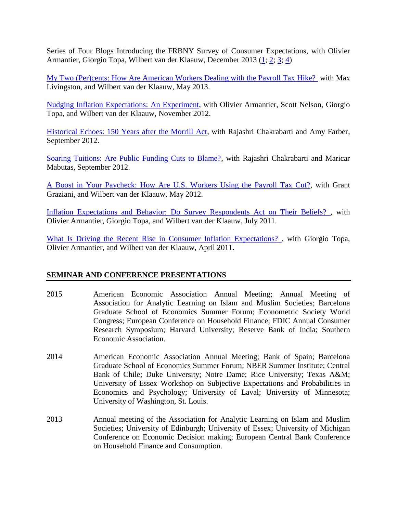Series of Four Blogs Introducing the FRBNY Survey of Consumer Expectations, with Olivier Armantier, Giorgio Topa, Wilbert van der Klaauw, December 2013 [\(1;](http://libertystreeteconomics.newyorkfed.org/2013/12/introducing-the-frbny-survey-of-consumer-expectations-survey-goals-design-and-content.html#.U8IatrEzKwY) [2;](http://libertystreeteconomics.newyorkfed.org/2013/12/introducing-the-frbny-survey-of-consumer-expectations-measuring-price-inflation-expectations.html#.U8Iat7EzKwY) [3;](http://libertystreeteconomics.newyorkfed.org/2013/12/introducing-the-frbny-survey-of-consumer-expectations-labor-market-expectations.html#.U8IaubEzKwY) [4\)](http://libertystreeteconomics.newyorkfed.org/2013/12/introducing-the-frbny-survey-of-consumer-expectations-household-finance-expectations.html#.U8Iau7EzKwY)

[My Two \(Per\)cents: How Are American Workers Dealing with the Payroll Tax Hike?](http://libertystreeteconomics.newyorkfed.org/2013/05/my-two-percents-how-are-american-workers-dealing-with-the-payroll-tax-hike.html) with Max Livingston, and Wilbert van der Klaauw*,* May 2013.

[Nudging Inflation Expectations: An Experiment,](http://libertystreeteconomics.newyorkfed.org/2012/11/nudging-inflation-expectations-an-experiment.html) with Olivier Armantier, Scott Nelson, Giorgio Topa, and Wilbert van der Klaauw*,* November 2012.

[Historical Echoes: 150 Years after the Morrill Act,](http://libertystreeteconomics.newyorkfed.org/2012/09/historical-echoes-150-years-after-the-morrill-act.html) with Rajashri Chakrabarti and Amy Farber*,*  September 2012.

[Soaring Tuitions: Are Public Funding Cuts to Blame?,](http://libertystreeteconomics.newyorkfed.org/2012/09/soaring-tuitions-are-public-funding-cuts-to-blame.html) with Rajashri Chakrabarti and Maricar Mabutas*,* September 2012.

[A Boost in Your Paycheck: How Are U.S. Workers Using the Payroll Tax Cut?,](http://libertystreeteconomics.newyorkfed.org/2012/05/a-boost-in-your-paycheck-how-are-us-workers-using-the-payroll-tax-cut.html) with Grant Graziani, and Wilbert van der Klaauw, May 2012.

[Inflation Expectations and Behavior: Do Survey Respondents Act on Their Beliefs? ,](http://libertystreeteconomics.newyorkfed.org/2011/07/inflation-expectations-and-behavior-do-survey-respondents-act-on-their-beliefs.html) with Olivier Armantier, Giorgio Topa, and Wilbert van der Klaauw*,* July 2011.

[What Is Driving the Recent Rise in Consumer Inflation Expectations? ,](http://libertystreeteconomics.newyorkfed.org/2011/04/what-is-driving-the-recent-rise-in-consumer-inflation-expectations.html) with Giorgio Topa, Olivier Armantier, and Wilbert van der Klaauw*,* April 2011.

# **SEMINAR AND CONFERENCE PRESENTATIONS**

- 2015 American Economic Association Annual Meeting; Annual Meeting of Association for Analytic Learning on Islam and Muslim Societies; Barcelona Graduate School of Economics Summer Forum; Econometric Society World Congress; European Conference on Household Finance; FDIC Annual Consumer Research Symposium; Harvard University; Reserve Bank of India; Southern Economic Association.
- 2014 American Economic Association Annual Meeting; Bank of Spain; Barcelona Graduate School of Economics Summer Forum; NBER Summer Institute; Central Bank of Chile; Duke University; Notre Dame; Rice University; Texas A&M; University of Essex Workshop on Subjective Expectations and Probabilities in Economics and Psychology; University of Laval; University of Minnesota; University of Washington, St. Louis.
- 2013 Annual meeting of the Association for Analytic Learning on Islam and Muslim Societies; University of Edinburgh; University of Essex; University of Michigan Conference on Economic Decision making; European Central Bank Conference on Household Finance and Consumption.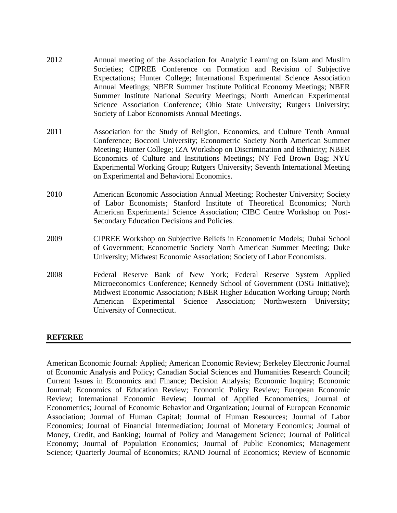- 2012 Annual meeting of the Association for Analytic Learning on Islam and Muslim Societies; CIPREE Conference on Formation and Revision of Subjective Expectations; Hunter College; International Experimental Science Association Annual Meetings; NBER Summer Institute Political Economy Meetings; NBER Summer Institute National Security Meetings; North American Experimental Science Association Conference; Ohio State University; Rutgers University; Society of Labor Economists Annual Meetings.
- 2011 Association for the Study of Religion, Economics, and Culture Tenth Annual Conference; Bocconi University; Econometric Society North American Summer Meeting; Hunter College; IZA Workshop on Discrimination and Ethnicity; NBER Economics of Culture and Institutions Meetings; NY Fed Brown Bag; NYU Experimental Working Group; Rutgers University; Seventh International Meeting on Experimental and Behavioral Economics.
- 2010 American Economic Association Annual Meeting; Rochester University; Society of Labor Economists; Stanford Institute of Theoretical Economics; North American Experimental Science Association; CIBC Centre Workshop on Post-Secondary Education Decisions and Policies.
- 2009 CIPREE Workshop on Subjective Beliefs in Econometric Models; Dubai School of Government; Econometric Society North American Summer Meeting; Duke University; Midwest Economic Association; Society of Labor Economists.
- 2008 Federal Reserve Bank of New York; Federal Reserve System Applied Microeconomics Conference; Kennedy School of Government (DSG Initiative); Midwest Economic Association; NBER Higher Education Working Group; North American Experimental Science Association; Northwestern University; University of Connecticut.

#### **REFEREE**

American Economic Journal: Applied; American Economic Review; Berkeley Electronic Journal of Economic Analysis and Policy; Canadian Social Sciences and Humanities Research Council; Current Issues in Economics and Finance; Decision Analysis; Economic Inquiry; Economic Journal; Economics of Education Review; Economic Policy Review; European Economic Review; International Economic Review; Journal of Applied Econometrics; Journal of Econometrics; Journal of Economic Behavior and Organization; Journal of European Economic Association; Journal of Human Capital; Journal of Human Resources; Journal of Labor Economics; Journal of Financial Intermediation; Journal of Monetary Economics; Journal of Money, Credit, and Banking; Journal of Policy and Management Science; Journal of Political Economy; Journal of Population Economics; Journal of Public Economics; Management Science; Quarterly Journal of Economics; RAND Journal of Economics; Review of Economic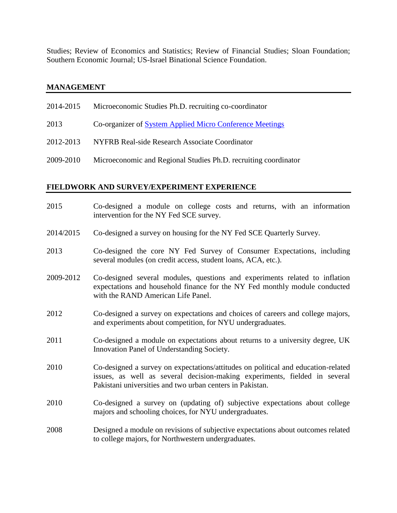Studies; Review of Economics and Statistics; Review of Financial Studies; Sloan Foundation; Southern Economic Journal; US-Israel Binational Science Foundation.

#### **MANAGEMENT**

| 2014-2015 | Microeconomic Studies Ph.D. recruiting co-coordinator           |
|-----------|-----------------------------------------------------------------|
| 2013      | Co-organizer of System Applied Micro Conference Meetings        |
| 2012-2013 | NYFRB Real-side Research Associate Coordinator                  |
| 2009-2010 | Microeconomic and Regional Studies Ph.D. recruiting coordinator |
|           |                                                                 |

#### **FIELDWORK AND SURVEY/EXPERIMENT EXPERIENCE**

- 2015 Co-designed a module on college costs and returns, with an information intervention for the NY Fed SCE survey.
- 2014/2015 Co-designed a survey on housing for the NY Fed SCE Quarterly Survey.
- 2013 Co-designed the core NY Fed Survey of Consumer Expectations, including several modules (on credit access, student loans, ACA, etc.).
- 2009-2012 Co-designed several modules, questions and experiments related to inflation expectations and household finance for the NY Fed monthly module conducted with the RAND American Life Panel.
- 2012 Co-designed a survey on expectations and choices of careers and college majors, and experiments about competition, for NYU undergraduates.
- 2011 Co-designed a module on expectations about returns to a university degree, UK Innovation Panel of Understanding Society.
- 2010 Co-designed a survey on expectations/attitudes on political and education-related issues, as well as several decision-making experiments, fielded in several Pakistani universities and two urban centers in Pakistan.
- 2010 Co-designed a survey on (updating of) subjective expectations about college majors and schooling choices, for NYU undergraduates.
- 2008 Designed a module on revisions of subjective expectations about outcomes related to college majors, for Northwestern undergraduates.